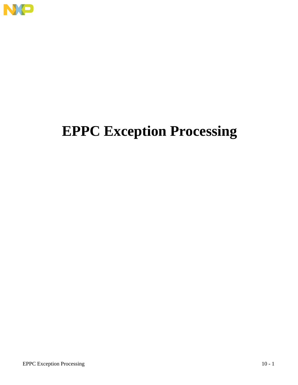

# **EPPC Exception Processing**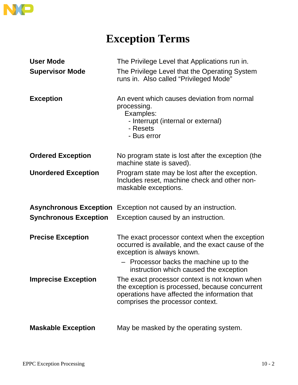

### **Exception Terms**

| <b>User Mode</b>             | The Privilege Level that Applications run in.                                                                                                                                        |
|------------------------------|--------------------------------------------------------------------------------------------------------------------------------------------------------------------------------------|
| <b>Supervisor Mode</b>       | The Privilege Level that the Operating System<br>runs in. Also called "Privileged Mode"                                                                                              |
| <b>Exception</b>             | An event which causes deviation from normal<br>processing.<br>Examples:<br>- Interrupt (internal or external)<br>- Resets<br>- Bus error                                             |
| <b>Ordered Exception</b>     | No program state is lost after the exception (the<br>machine state is saved).                                                                                                        |
| <b>Unordered Exception</b>   | Program state may be lost after the exception.<br>Includes reset, machine check and other non-<br>maskable exceptions.                                                               |
|                              | <b>Asynchronous Exception</b> Exception not caused by an instruction.                                                                                                                |
| <b>Synchronous Exception</b> | Exception caused by an instruction.                                                                                                                                                  |
| <b>Precise Exception</b>     | The exact processor context when the exception<br>occurred is available, and the exact cause of the<br>exception is always known.                                                    |
|                              | - Processor backs the machine up to the<br>instruction which caused the exception                                                                                                    |
| <b>Imprecise Exception</b>   | The exact processor context is not known when<br>the exception is processed, because concurrent<br>operations have affected the information that<br>comprises the processor context. |
| <b>Maskable Exception</b>    | May be masked by the operating system.                                                                                                                                               |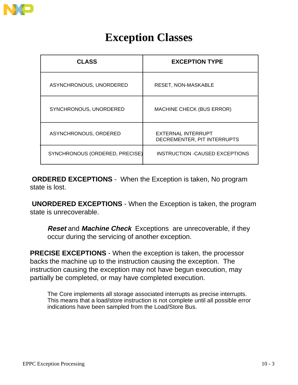

### **Exception Classes**

| <b>CLASS</b>                   | <b>EXCEPTION TYPE</b>                             |
|--------------------------------|---------------------------------------------------|
| ASYNCHRONOUS, UNORDERED        | <b>RESET, NON-MASKABLE</b>                        |
| SYNCHRONOUS, UNORDERED         | <b>MACHINE CHECK (BUS ERROR)</b>                  |
| ASYNCHRONOUS, ORDERED          | EXTERNAL INTERRUPT<br>DECREMENTER, PIT INTERRUPTS |
| SYNCHRONOUS (ORDERED, PRECISE) | <b>INSTRUCTION -CAUSED EXCEPTIONS</b>             |

**ORDERED EXCEPTIONS** - When the Exception is taken, No program state is lost.

**UNORDERED EXCEPTIONS** - When the Exception is taken, the program state is unrecoverable.

**Reset** and **Machine Check** Exceptions are unrecoverable, if they occur during the servicing of another exception.

**PRECISE EXCEPTIONS** - When the exception is taken, the processor backs the machine up to the instruction causing the exception. The instruction causing the exception may not have begun execution, may partially be completed, or may have completed execution.

The Core implements all storage associated interrupts as precise interrupts. This means that a load/store instruction is not complete until all possible error indications have been sampled from the Load/Store Bus.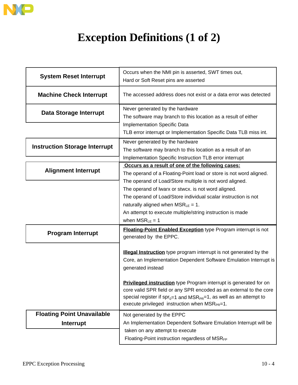

## **Exception Definitions (1 of 2)**

| <b>System Reset Interrupt</b>                  | Occurs when the NMI pin is asserted, SWT times out,<br>Hard or Soft Reset pins are asserted                                                                                                                                                                                                                    |  |  |  |  |  |
|------------------------------------------------|----------------------------------------------------------------------------------------------------------------------------------------------------------------------------------------------------------------------------------------------------------------------------------------------------------------|--|--|--|--|--|
| <b>Machine Check Interrupt</b>                 | The accessed address does not exist or a data error was detected                                                                                                                                                                                                                                               |  |  |  |  |  |
| Data Storage Interrupt                         | Never generated by the hardware<br>The software may branch to this location as a result of either<br>Implementation Specific Data                                                                                                                                                                              |  |  |  |  |  |
|                                                | TLB error interrupt or Implementation Specific Data TLB miss int.                                                                                                                                                                                                                                              |  |  |  |  |  |
| <b>Instruction Storage Interrupt</b>           | Never generated by the hardware<br>The software may branch to this location as a result of an<br>Implementation Specific Instruction TLB error interrupt                                                                                                                                                       |  |  |  |  |  |
| <b>Alignment Interrupt</b>                     | Occurs as a result of one of the following cases:<br>The operand of a Floating-Point load or store is not word aligned.<br>The operand of Load/Store multiple is not word aligned.                                                                                                                             |  |  |  |  |  |
|                                                | The operand of Iwarx or stwcx. is not word aligned.<br>The operand of Load/Store individual scalar instruction is not<br>naturally aligned when $MSR_{LE} = 1$ .<br>An attempt to execute multiple/string instruction is made<br>when $MSR_{LE} = 1$                                                           |  |  |  |  |  |
| <b>Program Interrupt</b>                       | <b>Floating-Point Enabled Exception type Program interrupt is not</b><br>generated by the EPPC.                                                                                                                                                                                                                |  |  |  |  |  |
|                                                | Illegal Instruction type program interrupt is not generated by the<br>Core, an Implementation Dependent Software Emulation Interrupt is<br>generated instead<br><b>Privileged instruction</b> type Program interrupt is generated for on<br>core valid SPR field or any SPR encoded as an external to the core |  |  |  |  |  |
|                                                | special register if $spr_{0=1}$ and MSR <sub>PR</sub> =1, as well as an attempt to<br>execute privileged instruction when MSR <sub>PR</sub> =1.                                                                                                                                                                |  |  |  |  |  |
| <b>Floating Point Unavailable</b><br>Interrupt | Not generated by the EPPC<br>An Implementation Dependent Software Emulation Interrupt will be<br>taken on any attempt to execute<br>Floating-Point instruction regardless of MSRFP                                                                                                                             |  |  |  |  |  |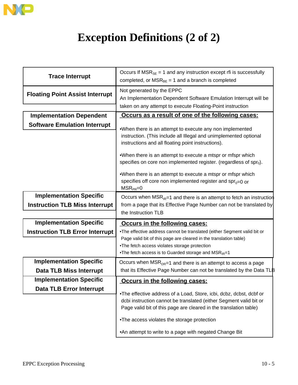

## **Exception Definitions (2 of 2)**

| <b>Trace Interrupt</b>                 | Occurs If $MSR_{SE} = 1$ and any instruction except rfi is successfully<br>completed, or $MSR_{BE} = 1$ and a branch is completed                                                                                                                                                                                                                                                         |  |  |  |  |  |  |
|----------------------------------------|-------------------------------------------------------------------------------------------------------------------------------------------------------------------------------------------------------------------------------------------------------------------------------------------------------------------------------------------------------------------------------------------|--|--|--|--|--|--|
| <b>Floating Point Assist Interrupt</b> | Not generated by the EPPC<br>An Implementation Dependent Software Emulation Interrupt will be<br>taken on any attempt to execute Floating-Point instruction                                                                                                                                                                                                                               |  |  |  |  |  |  |
| <b>Implementation Dependent</b>        | Occurs as a result of one of the following cases:                                                                                                                                                                                                                                                                                                                                         |  |  |  |  |  |  |
| <b>Software Emulation Interrupt</b>    | .When there is an attempt to execute any non implemented<br>instruction. (This include all Illegal and unimplemented optional<br>instructions and all floating point instructions).<br>•When there is an attempt to execute a mtspr or mfspr which<br>specifies on core non implemented register. (regardless of $spr0$ ).<br>.When there is an attempt to execute a mtspr or mfspr which |  |  |  |  |  |  |
|                                        | specifies off core non implemented register and spr <sub>o=0</sub> or<br>$MSR_{PR}=0$                                                                                                                                                                                                                                                                                                     |  |  |  |  |  |  |
| <b>Implementation Specific</b>         | Occurs when $MSR_{IR}=1$ and there is an attempt to fetch an instruction                                                                                                                                                                                                                                                                                                                  |  |  |  |  |  |  |
| <b>Instruction TLB Miss Interrupt</b>  | from a page that its Effective Page Number can not be translated by<br>the Instruction TLB                                                                                                                                                                                                                                                                                                |  |  |  |  |  |  |
| <b>Implementation Specific</b>         | Occurs in the following cases:                                                                                                                                                                                                                                                                                                                                                            |  |  |  |  |  |  |
| <b>Instruction TLB Error Interrupt</b> | .The effective address cannot be translated (either Segment valid bit or                                                                                                                                                                                                                                                                                                                  |  |  |  |  |  |  |
|                                        | Page valid bit of this page are cleared in the translation table)<br>.The fetch access violates storage protection<br>.The fetch access is to Guarded storage and MSRIR=1                                                                                                                                                                                                                 |  |  |  |  |  |  |
| <b>Implementation Specific</b>         | Occurs when $MSRDR=1$ and there is an attempt to access a page                                                                                                                                                                                                                                                                                                                            |  |  |  |  |  |  |
| <b>Data TLB Miss Interrupt</b>         | that its Effective Page Number can not be translated by the Data TLB                                                                                                                                                                                                                                                                                                                      |  |  |  |  |  |  |
| <b>Implementation Specific</b>         | Occurs in the following cases:                                                                                                                                                                                                                                                                                                                                                            |  |  |  |  |  |  |
| <b>Data TLB Error Interrupt</b>        | .The effective address of a Load, Store, icbi, dcbz, dcbst, dcbf or                                                                                                                                                                                                                                                                                                                       |  |  |  |  |  |  |
|                                        | dcbi instruction cannot be translated (either Segment valid bit or<br>Page valid bit of this page are cleared in the translation table)                                                                                                                                                                                                                                                   |  |  |  |  |  |  |
|                                        | .The access violates the storage protection                                                                                                                                                                                                                                                                                                                                               |  |  |  |  |  |  |
|                                        | •An attempt to write to a page with negated Change Bit                                                                                                                                                                                                                                                                                                                                    |  |  |  |  |  |  |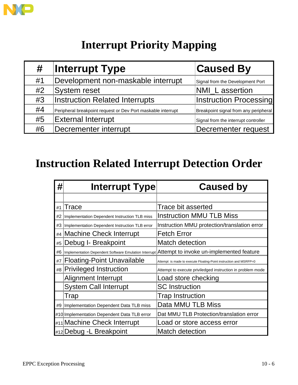

## **Interrupt Priority Mapping**

| #  | <b>Interrupt Type</b>                                        | <b>Caused By</b>                      |
|----|--------------------------------------------------------------|---------------------------------------|
| #1 | Development non-maskable interrupt                           | Signal from the Development Port      |
| #2 | <b>System reset</b>                                          | NMI_L assertion                       |
| #3 | <b>Instruction Related Interrupts</b>                        | <b>Instruction Processing</b>         |
| #4 | Peripheral breakpoint request or Dev Port maskable interrupt | Breakpoint signal from any peripheral |
| #5 | <b>External Interrupt</b>                                    | Signal from the interrupt controller  |
| #6 | Decrementer interrupt                                        | Decrementer request                   |

### **Instruction Related Interrupt Detection Order**

| #  | <b>Interrupt Type</b>                          | <b>Caused by</b>                                                                               |
|----|------------------------------------------------|------------------------------------------------------------------------------------------------|
|    |                                                |                                                                                                |
| #1 | Trace                                          | Trace bit asserted                                                                             |
| #2 | Implementation Dependent Instruction TLB miss  | <b>Instruction MMU TLB Miss</b>                                                                |
| #3 | Implementation Dependent Instruction TLB error | Instruction MMU protection/translation error                                                   |
|    | #4 Machine Check Interrupt                     | <b>Fetch Error</b>                                                                             |
| #5 | Debug I- Breakpoint                            | <b>Match detection</b>                                                                         |
| #6 |                                                | Implementation Dependent Software Emulation Interrupt Attempt to invoke un-implemented feature |
| #7 | <b>Floating-Point Unavailable</b>              | Attempt is made to execute Floating-Point instruction and MSRFP=0                              |
|    | #8 Privileged Instruction                      | Attempt to execute priviledged instruction in problem mode                                     |
|    | Alignment Interrupt                            | Load store checking                                                                            |
|    | <b>System Call Interrupt</b>                   | <b>SC</b> Instruction                                                                          |
|    | Trap                                           | <b>Trap Instruction</b>                                                                        |
|    | #9   Implementation Dependent Data TLB miss    | Data MMU TLB Miss                                                                              |
|    | #10 Implementation Dependent Data TLB error    | Dat MMU TLB Protection/translation error                                                       |
|    | #11 Machine Check Interrupt                    | Load or store access error                                                                     |
|    | #12 Debug - L Breakpoint                       | <b>Match detection</b>                                                                         |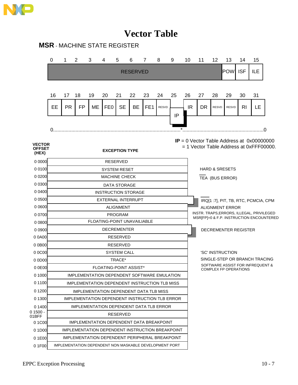

### **Vector Table**

#### **MSR** - MACHINE STATE REGISTER

|                                         | 0                                                                                                                 | 1         | 2         | 3                                             | 4                             | 5                   | 6               | $\overline{7}$  | 8                                                      | 9        | 10  | 11                                                                                    | $12 \overline{ }$                                                 | 13           | 14             | 15  |    |  |
|-----------------------------------------|-------------------------------------------------------------------------------------------------------------------|-----------|-----------|-----------------------------------------------|-------------------------------|---------------------|-----------------|-----------------|--------------------------------------------------------|----------|-----|---------------------------------------------------------------------------------------|-------------------------------------------------------------------|--------------|----------------|-----|----|--|
|                                         |                                                                                                                   |           |           |                                               |                               |                     | <b>RESERVED</b> |                 |                                                        |          |     |                                                                                       |                                                                   | <b>POW</b>   | <b>ISF</b>     | ILE |    |  |
|                                         |                                                                                                                   |           |           |                                               |                               |                     |                 |                 |                                                        |          |     |                                                                                       |                                                                   |              |                |     |    |  |
|                                         |                                                                                                                   |           |           |                                               |                               |                     |                 |                 |                                                        |          |     |                                                                                       |                                                                   |              |                |     |    |  |
|                                         | 16                                                                                                                | 17        | 18        | 19                                            | 20                            | 21                  | 22              | 23              | 24                                                     | 25       | 26  | 27                                                                                    | 28                                                                | 29           | 30             | 31  |    |  |
|                                         | EE                                                                                                                | <b>PR</b> | <b>FP</b> | ME                                            | FE <sub>0</sub>               | <b>SE</b>           | BE              | FE <sub>1</sub> | <b>RESVD</b>                                           |          | IR. | <b>DR</b>                                                                             | <b>RESVD</b>                                                      | <b>RESVD</b> | R <sub>l</sub> | LE  |    |  |
|                                         |                                                                                                                   |           |           |                                               |                               |                     |                 |                 |                                                        | IP       |     |                                                                                       |                                                                   |              |                |     |    |  |
|                                         | 0.                                                                                                                |           |           |                                               |                               |                     |                 |                 |                                                        | $^\star$ |     |                                                                                       |                                                                   |              |                |     | .0 |  |
|                                         |                                                                                                                   |           |           |                                               |                               |                     |                 |                 |                                                        |          |     |                                                                                       |                                                                   |              |                |     |    |  |
| <b>VECTOR</b><br><b>OFFSET</b><br>(HEX) | $IP = 0$ Vector Table Address at 0x00000000<br>$= 1$ Vector Table Address at 0xFFF00000.<br><b>EXCEPTION TYPE</b> |           |           |                                               |                               |                     |                 |                 |                                                        |          |     |                                                                                       |                                                                   |              |                |     |    |  |
| 00000                                   | <b>RESERVED</b>                                                                                                   |           |           |                                               |                               |                     |                 |                 |                                                        |          |     |                                                                                       |                                                                   |              |                |     |    |  |
| 0 0 1 0 0                               |                                                                                                                   |           |           |                                               | <b>SYSTEM RESET</b>           |                     |                 |                 |                                                        |          |     |                                                                                       | <b>HARD &amp; SRESETS</b>                                         |              |                |     |    |  |
| 0 0 2 0 0                               |                                                                                                                   |           |           |                                               | <b>MACHINE CHECK</b>          |                     |                 |                 |                                                        |          |     |                                                                                       | TEA (BUS ERROR)                                                   |              |                |     |    |  |
| 0 0 3 0 0                               |                                                                                                                   |           |           |                                               |                               | <b>DATA STORAGE</b> |                 |                 |                                                        |          |     |                                                                                       |                                                                   |              |                |     |    |  |
| 0 0400                                  |                                                                                                                   |           |           |                                               | <b>INSTRUCTION STORAGE</b>    |                     |                 |                 |                                                        |          |     |                                                                                       |                                                                   |              |                |     |    |  |
| 0 0 5 0 0                               |                                                                                                                   |           |           |                                               | <b>EXTERNAL INTERRUPT</b>     |                     |                 |                 |                                                        |          |     |                                                                                       | IRQ[1:7], PIT, TB, RTC, PCMCIA, CPM                               |              |                |     |    |  |
| 0 0600                                  |                                                                                                                   |           |           |                                               |                               | <b>ALIGNMENT</b>    |                 |                 |                                                        |          |     | <b>ALIGNMENT ERROR</b>                                                                |                                                                   |              |                |     |    |  |
| 0 0700                                  |                                                                                                                   |           |           |                                               |                               | <b>PROGRAM</b>      |                 |                 |                                                        |          |     | INSTR. TRAPS, ERRORS, ILLEGAL, PRIVILEGED<br>MSR[FP]=0 & F.P. INSTRUCTION ENCOUNTERED |                                                                   |              |                |     |    |  |
| 0 0 8 0 0                               |                                                                                                                   |           |           |                                               | FLOATING-POINT UNAVAILIABLE   |                     |                 |                 |                                                        |          |     |                                                                                       |                                                                   |              |                |     |    |  |
| 0 0 9 0 0                               |                                                                                                                   |           |           |                                               | <b>DECREMENTER</b>            |                     |                 |                 |                                                        |          |     | DECREMENTER REGISTER                                                                  |                                                                   |              |                |     |    |  |
| 00A00                                   |                                                                                                                   |           |           |                                               |                               | <b>RESERVED</b>     |                 |                 |                                                        |          |     |                                                                                       |                                                                   |              |                |     |    |  |
| $0$ 0B00                                |                                                                                                                   |           |           |                                               |                               | <b>RESERVED</b>     |                 |                 |                                                        |          |     |                                                                                       |                                                                   |              |                |     |    |  |
| 00000                                   |                                                                                                                   |           |           |                                               |                               | <b>SYSTEM CALL</b>  |                 |                 |                                                        |          |     |                                                                                       | 'SC' INSTRUCTION                                                  |              |                |     |    |  |
| $0$ $0$ D $0$                           |                                                                                                                   |           |           |                                               |                               | TRACE*              |                 |                 |                                                        |          |     |                                                                                       | SINGLE-STEP OR BRANCH TRACING<br>SOFTWARE ASSIST FOR INFREQUENT & |              |                |     |    |  |
| 00E00                                   |                                                                                                                   |           |           |                                               | <b>FLOATING-POINT ASSIST*</b> |                     |                 |                 |                                                        |          |     |                                                                                       | <b>COMPLEX FP OPERATIONS</b>                                      |              |                |     |    |  |
| 0 1000                                  |                                                                                                                   |           |           |                                               |                               |                     |                 |                 | IMPLEMENTATION DEPENDENT SOFTWARE EMULATION            |          |     |                                                                                       |                                                                   |              |                |     |    |  |
| 01100                                   |                                                                                                                   |           |           |                                               |                               |                     |                 |                 | IMPLEMENTATION DEPENDENT INSTRUCTION TLB MISS          |          |     |                                                                                       |                                                                   |              |                |     |    |  |
| 0 1 2 0 0                               |                                                                                                                   |           |           | <b>IMPLEMENTATION DEPENDENT DATA TLB MISS</b> |                               |                     |                 |                 |                                                        |          |     |                                                                                       |                                                                   |              |                |     |    |  |
| 0 1300                                  |                                                                                                                   |           |           |                                               |                               |                     |                 |                 | IMPLEMENTATION DEPENDENT INSTRUCTION TLB ERROR         |          |     |                                                                                       |                                                                   |              |                |     |    |  |
| 0 1400                                  |                                                                                                                   |           |           |                                               |                               |                     |                 |                 | IMPLEMENTATION DEPENDENT DATA TLB ERROR                |          |     |                                                                                       |                                                                   |              |                |     |    |  |
| 0 1500 -<br>01BFF                       |                                                                                                                   |           |           |                                               |                               | <b>RESERVED</b>     |                 |                 |                                                        |          |     |                                                                                       |                                                                   |              |                |     |    |  |
| 01C00                                   |                                                                                                                   |           |           |                                               |                               |                     |                 |                 | IMPLEMENTATION DEPENDENT DATA BREAKPOINT               |          |     |                                                                                       |                                                                   |              |                |     |    |  |
| 0 1 D <sub>00</sub>                     |                                                                                                                   |           |           |                                               |                               |                     |                 |                 | IMPLEMENTATION DEPENDENT INSTRUCTION BREAKPOINT        |          |     |                                                                                       |                                                                   |              |                |     |    |  |
| 01E00                                   |                                                                                                                   |           |           |                                               |                               |                     |                 |                 | IMPLEMENTATION DEPENDENT PERIPHERAL BREAKPOINT         |          |     |                                                                                       |                                                                   |              |                |     |    |  |
| 01F00                                   |                                                                                                                   |           |           |                                               |                               |                     |                 |                 | IMPLEMENTATION DEPENDENT NON MASKABLE DEVELOPMENT PORT |          |     |                                                                                       |                                                                   |              |                |     |    |  |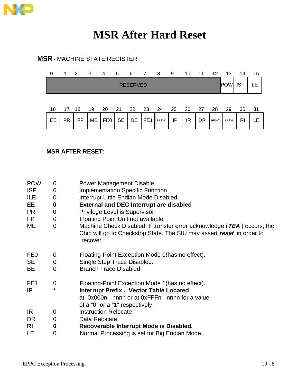

### **MSR After Hard Reset**

### **MSR** - MACHINE STATE REGISTER

| 0  | 1         | $\overline{2}$ | - 3 | 4   | 5         | 6               | $\overline{7}$  | 8     | 9  | 10 | 11   | 12           | 13         | 14         | 15  |
|----|-----------|----------------|-----|-----|-----------|-----------------|-----------------|-------|----|----|------|--------------|------------|------------|-----|
|    |           |                |     |     |           | <b>RESERVED</b> |                 |       |    |    |      |              | <b>POW</b> | <b>ISF</b> | ILE |
| 16 | 17 18     |                | 19  | 20  | 21        | -22             | - 23            | -24   | 25 | 26 | - 27 | 28           | 29         | 30         | 31  |
| EE | <b>PR</b> | FP             | ME  | FE0 | <b>SE</b> | BE              | FE <sub>1</sub> | RESVD | IP | IR | DR   | <b>RESVD</b> | RESVD      | RI         |     |

#### **MSR AFTER RESET:**

| <b>POW</b><br><b>ISF</b><br>ILE<br>EE<br><b>PR</b><br><b>FP</b><br>ME | 0<br>0<br>0<br>0<br>0<br>0<br>$\overline{0}$ | <b>Power Management Disable</b><br><b>Implementation Specific Function</b><br>Interrupt Little Endian Mode Disabled<br><b>External and DEC Interrupt are disabled</b><br>Privilege Level is Supervisor.<br><b>Floating Point Unit not available</b><br>Machine Check Disabled: If transfer error acknowledge (TEA) occurs, the<br>Chip will go to Checkstop State. The SIU may assert reset in order to<br>recover. |
|-----------------------------------------------------------------------|----------------------------------------------|---------------------------------------------------------------------------------------------------------------------------------------------------------------------------------------------------------------------------------------------------------------------------------------------------------------------------------------------------------------------------------------------------------------------|
| FE <sub>0</sub><br><b>SE</b><br><b>BE</b>                             | 0<br>0<br>0                                  | Floating-Point Exception Mode 0(has no effect).<br>Single Step Trace Disabled.<br>Branch Trace Disabled.                                                                                                                                                                                                                                                                                                            |
| FE <sub>1</sub><br><b>IP</b>                                          | 0<br>*                                       | Floating-Point Exception Mode 1 (has no effect).<br><b>Interrupt Prefix . Vector Table Located</b><br>at 0x000n - nnnn or at 0xFFFn - nnnn for a value<br>of a "0" or a "1" respectively.                                                                                                                                                                                                                           |
| IR.                                                                   | 0                                            | <b>Instruction Relocate</b>                                                                                                                                                                                                                                                                                                                                                                                         |
| <b>DR</b>                                                             | 0                                            | Data Relocate                                                                                                                                                                                                                                                                                                                                                                                                       |
| <b>RI</b>                                                             | 0                                            | Recoverable Interrupt Mode is Disabled.                                                                                                                                                                                                                                                                                                                                                                             |
| <b>LE</b>                                                             | 0                                            | Normal Processing is set for Big Endian Mode.                                                                                                                                                                                                                                                                                                                                                                       |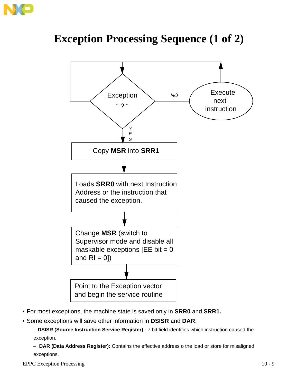

### **Exception Processing Sequence (1 of 2)**



- For most exceptions, the machine state is saved only in **SRR0** and **SRR1.**
- Some exceptions will save other information in **DSISR** and **DAR**:

– **DSISR (Source Instruction Service Register) -** 7 bit field identifies which instruction caused the exception.

– **DAR (Data Address Register):** Contains the effective address o the load or store for misaligned exceptions.

EPPC Exception Processing 10 - 9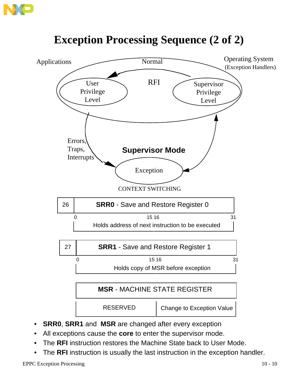



## **Exception Processing Sequence (2 of 2)**

- **SRR0, SRR1** and **MSR** are changed after every exception
- All exceptions cause the **core** to enter the supervisor mode.
- The **RFI** instruction restores the Machine State back to User Mode.
- The **RFI** instruction is usually the last instruction in the exception handler.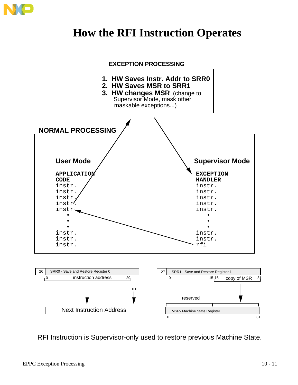

### **How the RFI Instruction Operates**



RFI Instruction is Supervisor-only used to restore previous Machine State.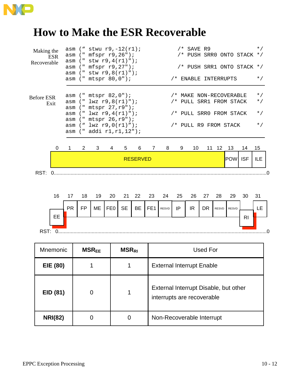![](_page_11_Picture_0.jpeg)

### **How to Make the ESR Recoverable**

|                                         |    |   |                                                                                                                                                                                                         |   |   | <b>RESERVED</b> |   |                                                                                                        |   |    |  |  | <b>POW ISF</b> |    | ILE                                              |  |
|-----------------------------------------|----|---|---------------------------------------------------------------------------------------------------------------------------------------------------------------------------------------------------------|---|---|-----------------|---|--------------------------------------------------------------------------------------------------------|---|----|--|--|----------------|----|--------------------------------------------------|--|
| 0                                       | 1. | 2 | 3                                                                                                                                                                                                       | 4 | 5 | 6               | 7 | 8                                                                                                      | 9 | 10 |  |  | 11 12 13       | 14 | 15                                               |  |
| Before ESR<br>Exit                      |    |   | $asm$ (" mtspr $82,0$ ");<br>asm $(" lwz r9, 8(r1)");$<br>asm (" mtspr 27, r9");<br>asm $(" lwz r9, 4(r1)");$<br>asm (" mtspr 26, r9");<br>asm $("lwz r9, 0(r1)");$<br>$asm$ (" $addi$ $r1, r1, 12$ "); |   |   |                 |   | /* MAKE NON-RECOVERABLE<br>/* PULL SRR1 FROM STACK<br>/* PULL SRRO FROM STACK<br>/* PULL R9 FROM STACK |   |    |  |  |                |    | $\star$ /<br>$\star$ /<br>$\star$ /<br>$\star$ / |  |
| Making the<br><b>ESR</b><br>Recoverable |    |   | asm $("stwu r9,-12(r1);$<br>asm (" mfspr r9,26");<br>$asm$ (" stw r9, 4(r1)");<br>asm (" mfspr r9, 27");<br>$asm$ (" stw r9, 8(r1)");<br>asm (" mtspr 80,0");                                           |   |   |                 |   | $/*$ SAVE R9<br>/* PUSH SRR0 ONTO STACK */<br>/* PUSH SRR1 ONTO STACK */<br>/* ENABLE INTERRUPTS       |   |    |  |  |                |    |                                                  |  |

![](_page_11_Figure_3.jpeg)

| <b>Mnemonic</b> | <b>MSR<sub>EE</sub></b> | <b>MSR<sub>RI</sub></b> | <b>Used For</b>                                                     |
|-----------------|-------------------------|-------------------------|---------------------------------------------------------------------|
| <b>EIE (80)</b> |                         |                         | <b>External Interrupt Enable</b>                                    |
| EID (81)        | 0                       |                         | External Interrupt Disable, but other<br>interrupts are recoverable |
| <b>NRI(82)</b>  | 0                       | 0                       | Non-Recoverable Interrupt                                           |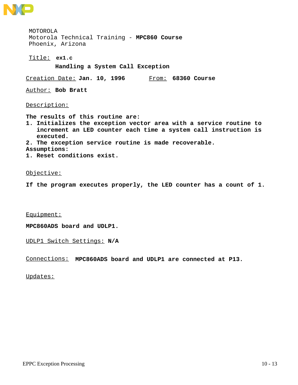![](_page_12_Picture_0.jpeg)

MOTOROLA Motorola Technical Training - **MPC860 Course** Phoenix, Arizona

**ex1.c** Title:

**Handling a System Call Exception**

Creation Date: **Jan. 10, 1996** From: **68360 Course**

Author: **Bob Bratt**

Description:

**The results of this routine are:**

**1. Initializes the exception vector area with a service routine to increment an LED counter each time a system call instruction is executed.**

**2. The exception service routine is made recoverable.**

**Assumptions:**

**1. Reset conditions exist.**

#### Objective:

**If the program executes properly, the LED counter has a count of 1.**

Equipment:

**MPC860ADS board and UDLP1.**

UDLP1 Switch Settings: **N/A**

Connections: **MPC860ADS board and UDLP1 are connected at P13.**

Updates: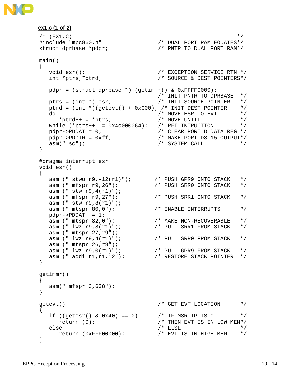![](_page_13_Picture_0.jpeg)

```
ex1.c (1 of 2)
```

```
\mathscr{L} (EX1.C) \mathscr{L}#include "mpc860.h" /* DUAL PORT RAM EQUATES*/
struct dprbase *pdpr; /* PNTR TO DUAL PORT RAM*/
main()
\{void esr();<br>int *ptrs,*ptrd; <br>\frac{1}{2} /* SOURCE & DEST POINTERS*/
  int *ptrs,*ptrd;
 pdpr = (struct dprbase *) (getimmr() & 0xFFFF0000);
 /* INIT PNTR TO DPRBASE */
 ptrs = (int *) esr; /* INIT SOURCE POINTER */
  ptrd = (int *)(getevt() + 0xC00); /* INIT DEST POINTER */<br>do * MOVE ESR TO EVT */
  do / \star MOVE ESR TO EVT \star \star ptrd++ = \starptrs; / \star MOVE UNTIL
*ptrd++ = *ptrs; /* MOVE UNTIL */
 while (*ptrs++ != 0x4c000064); /* RFI INTRUCTION */
pdpr\rightarrow PDDAT = 0; /* CLEAR PORT D DATA REG */
 pdpr->PDDIR = 0xff; /* MAKE PORT D8-15 OUTPUT*/
asm(" sc"); \star SYSTEM CALL \star /
}
#pragma interrupt esr
void esr()
{
 asm (" stwu r9,-12(r1)"); /* PUSH GPR9 ONTO STACK */
 asm (" mfspr r9,26"); /* PUSH SRR0 ONTO STACK */
 asm (" stw r9,4(r1)");
 asm (" mfspr r9,27"); /* PUSH SRR1 ONTO STACK */
 asm (" stw r9,8(r1)");
asm (" mtspr 80,0"); \overline{\hspace{1cm}} /* ENABLE INTERRUPTS */
 pdpr->PDDAT += 1;
 asm (" mtspr 82,0"); /* MAKE NON-RECOVERABLE */
 asm (" lwz r9,8(r1)"); /* PULL SRR1 FROM STACK */
 asm (" mtspr 27,r9");
 asm (" lwz r9,4(r1)"); /* PULL SRR0 FROM STACK */
 asm (" mtspr 26,r9");
 asm (" lwz r9,0(r1)"); /* PULL GPR9 FROM STACK */
 asm (" addi r1,r1,12"); /* RESTORE STACK POINTER */
}
getimmr()
{
   asm(" mfspr 3,638");
}
qetevt() /* GET EVT LOCATION */
{
  if ((getmsr() & 0x40) == 0) <br> \frac{1}{x} IF MSR.IP IS 0 */<br> \frac{x}{x}<br> \frac{x}{y} return (0);
    return (0);
  else \overleftrightarrow{f}<br>
\overleftrightarrow{f} \overleftrightarrow{f}<br>
\overleftrightarrow{f} \overleftrightarrow{f} \overleftrightarrow{f} \overleftrightarrow{f} \overleftrightarrow{f} \overleftrightarrow{f} \overleftrightarrow{f} \overleftrightarrow{f} return (0xFFF00000); /* EVT IS IN HIGH MEM */
}
```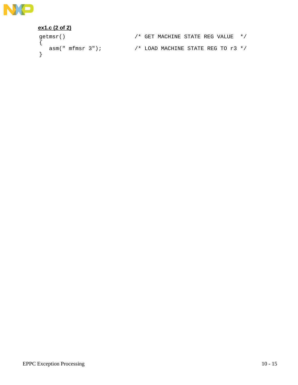![](_page_14_Picture_0.jpeg)

#### **ex1.c (2 of 2)**

getmsr()<br>{ }

/\* GET MACHINE STATE REG VALUE  $*/$ asm(" mfmsr  $3"$ );  $/$ \* LOAD MACHINE STATE REG TO r $3$  \*/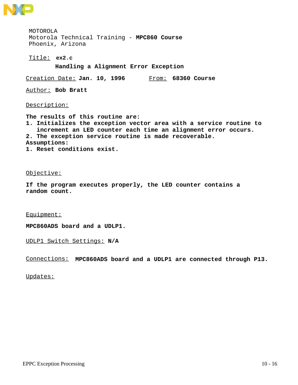![](_page_15_Picture_0.jpeg)

MOTOROLA Motorola Technical Training - **MPC860 Course** Phoenix, Arizona

**ex2.c** Title:

**Handling a Alignment Error Exception**

Creation Date: **Jan. 10, 1996** From: **68360 Course**

Author: **Bob Bratt**

Description:

**The results of this routine are: 1. Initializes the exception vector area with a service routine to increment an LED counter each time an alignment error occurs. 2. The exception service routine is made recoverable. Assumptions: 1. Reset conditions exist.**

Objective:

**If the program executes properly, the LED counter contains a random count.**

Equipment:

**MPC860ADS board and a UDLP1.**

UDLP1 Switch Settings: **N/A**

Connections: **MPC860ADS board and a UDLP1 are connected through P13.**

Updates: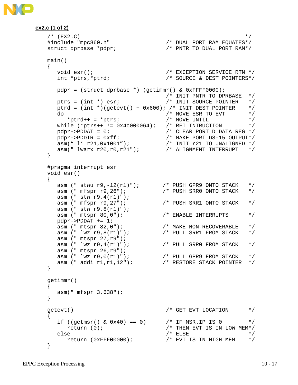![](_page_16_Picture_0.jpeg)

```
ex2.c (1 of 2)
```

```
\sqrt{\phantom{a}} (EX2.C) \phantom{a} /
#include "mpc860.h" /* DUAL PORT RAM EQUATES*/
struct dprbase *pdpr; /* PNTR TO DUAL PORT RAM*/
main()
{
  void esr(); <br> /* EXCEPTION SERVICE RTN */
  int *ptrs,*ptrd; // // // // bauthrium SERVICE RTN */<br>int *ptrs,*ptrd; // // SOURCE & DEST POINTERS*/
  pdpr = (struct dprbase *) (getimmr() & 0xFFF0000;
                               /* INIT PNTR TO DPRBASE */
  ptrs = (int * ) esr;<br>ntrd = (' - )ptrd = (int *)(getevt() + 0x600); /* INIT DEST POINTER */<br>do * MOVE ESR TO EVT */
  do / \star MOVE ESR TO EVT \star \star ptrd++ = \starptrs; \star MOVE UNTIL
*ptrd++ = *ptrs; /* MOVE UNTIL */
 while (*ptrs++ != 0x4c000064); /* RFI INTRUCTION */
pdpr \rightarrow PDDAT = 0; /* CLEAR PORT D DATA REG */
 pdpr->PDDIR = 0xff; /* MAKE PORT D8-15 OUTPUT*/
 asm(" li r21,0x1001"); /* INIT r21 TO UNALIGNED */
 asm(" lwarx r20,r0,r21"); /* ALIGNMENT INTERRUPT */
}
#pragma interrupt esr
void esr()
{
 asm (" stwu r9,-12(r1)"); /* PUSH GPR9 ONTO STACK */
 asm (" mfspr r9,26"); /* PUSH SRR0 ONTO STACK */
  asm (" stw r9,4(r1)");<br>asm (" mfspr r9,27");
 asm (" mfspr r9,27"); /* PUSH SRR1 ONTO STACK */
 asm (" stw r9,8(r1)");
asm (" mtspr 80,0"); \overline{\hspace{1cm}} /* ENABLE INTERRUPTS */
 pdpr->PDDAT += 1;
 asm (" mtspr 82,0"); /* MAKE NON-RECOVERABLE */
 asm (" lwz r9,8(r1)"); /* PULL SRR1 FROM STACK */
 asm (" mtspr 27,r9");
  \frac{1}{2} asm (" lwz r9,4(r1)"); /* PULL SRR0 FROM STACK */
 asm (" mtspr 26,r9");
 asm (" lwz r9,0(r1)"); /* PULL GPR9 FROM STACK */
 asm (" addi r1,r1,12"); /* RESTORE STACK POINTER */
}
getimmr()
{
   asm(" mfspr 3,638");
}
getevt() \overline{a} /* GET EVT LOCATION \overline{a} /
{
  if ((getmsr() & 0x40) == 0) <br>return (0); <br>/* THEN EVT IS IN LOW MEM*/
    return (0);
  else \rightarrow \rightarrow /* ELSE */
     return (0xFFF00000); /* EVT IS IN HIGH MEM */
}
```